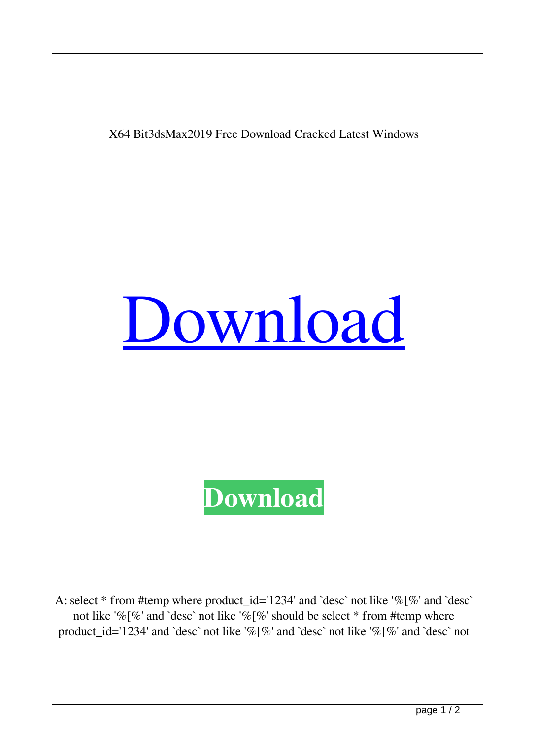## X64 Bit3dsMax2019 Free Download Cracked Latest Windows

## [Download](http://evacdir.com/chalet.delisted/morrall/eGZvcmNla2V5Z2VuNjRiaXQzZHNNYXgyMDE5eGZ.ZG93bmxvYWR8VzJmYlRKbmZId3hOalV5TnpRd09EWTJmSHd5TlRjMGZId29UU2tnY21WaFpDMWliRzluSUZ0R1lYTjBJRWRGVGww/knappertsbusch?opposed)

## **[Download](http://evacdir.com/chalet.delisted/morrall/eGZvcmNla2V5Z2VuNjRiaXQzZHNNYXgyMDE5eGZ.ZG93bmxvYWR8VzJmYlRKbmZId3hOalV5TnpRd09EWTJmSHd5TlRjMGZId29UU2tnY21WaFpDMWliRzluSUZ0R1lYTjBJRWRGVGww/knappertsbusch?opposed)**

A: select  $*$  from #temp where product id='1234' and `desc` not like '%[%' and `desc` not like '%[%' and `desc` not like '%[%' should be select \* from #temp where product id='1234' and `desc` not like '% $[%]$ " and `desc` not like '% $[%]$ " and `desc` not